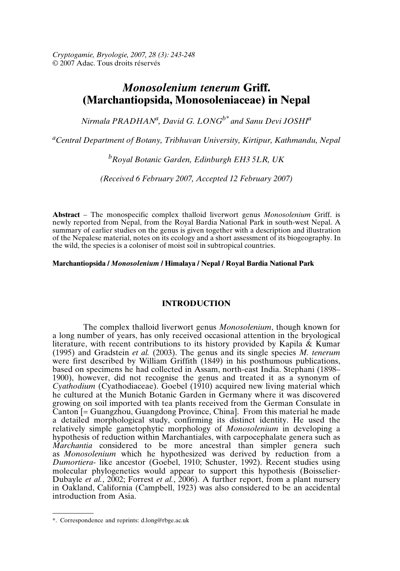*Cryptogamie, Bryologie, 2007, 28 (3): 243-248* © 2007 Adac. Tous droits réservés

# *Monosolenium tenerum* **Griff. (Marchantiopsida, Monosoleniaceae) in Nepal**

*Nirmala PRADHAN<sup>a</sup> , David G. LONGb\* and Sanu Devi JOSHI<sup>a</sup>*

*<sup>a</sup>Central Department of Botany, Tribhuvan University, Kirtipur, Kathmandu, Nepal*

*<sup>b</sup>Royal Botanic Garden, Edinburgh EH3 5LR, UK*

*(Received 6 February 2007, Accepted 12 February 2007)*

**Abstract** – The monospecific complex thalloid liverwort genus *Monosolenium* Griff. is newly reported from Nepal, from the Royal Bardia National Park in south-west Nepal. A summary of earlier studies on the genus is given together with a description and illustration of the Nepalese material, notes on its ecology and a short assessment of its biogeography. In the wild, the species is a coloniser of moist soil in subtropical countries.

**Marchantiopsida /** *Monosolenium* **/ Himalaya / Nepal / Royal Bardia National Park**

## **INTRODUCTION**

The complex thalloid liverwort genus *Monosolenium*, though known for a long number of years, has only received occasional attention in the bryological literature, with recent contributions to its history provided by Kapila & Kumar (1995) and Gradstein *et al.* (2003). The genus and its single species *M. tenerum* were first described by William Griffith (1849) in his posthumous publications, based on specimens he had collected in Assam, north-east India. Stephani (1898– 1900), however, did not recognise the genus and treated it as a synonym of *Cyathodium* (Cyathodiaceae). Goebel (1910) acquired new living material which he cultured at the Munich Botanic Garden in Germany where it was discovered growing on soil imported with tea plants received from the German Consulate in Canton [= Guangzhou, Guangdong Province, China]. From this material he made a detailed morphological study, confirming its distinct identity. He used the relatively simple gametophytic morphology of *Monosolenium* in developing a hypothesis of reduction within Marchantiales, with carpocephalate genera such as *Marchantia* considered to be more ancestral than simpler genera such as *Monosolenium* which he hypothesized was derived by reduction from a *Dumortiera*- like ancestor (Goebel, 1910; Schuster, 1992). Recent studies using molecular phylogenetics would appear to support this hypothesis (Boisselier-Dubayle *et al.*, 2002; Forrest *et al.*, 2006). A further report, from a plant nursery in Oakland, California (Campbell, 1923) was also considered to be an accidental introduction from Asia.

<sup>\*.</sup> Correspondence and reprints: d.long@rbge.ac.uk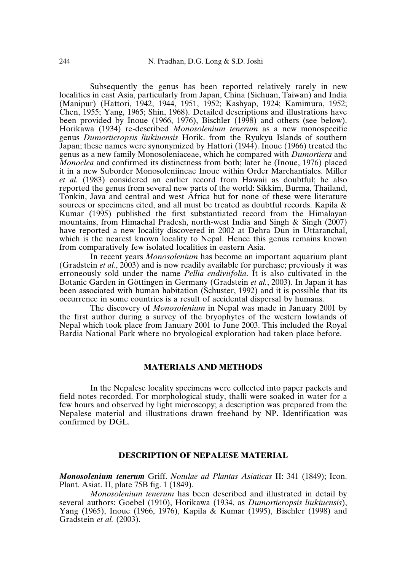Subsequently the genus has been reported relatively rarely in new localities in east Asia, particularly from Japan, China (Sichuan, Taiwan) and India (Manipur) (Hattori, 1942, 1944, 1951, 1952; Kashyap, 1924; Kamimura, 1952; Chen, 1955; Yang, 1965; Shin, 1968). Detailed descriptions and illustrations have been provided by Inoue (1966, 1976), Bischler (1998) and others (see below). Horikawa (1934) re-described *Monosolenium tenerum* as a new monospecific genus *Dumortieropsis liukiuensis* Horik. from the Ryukyu Islands of southern Japan; these names were synonymized by Hattori (1944). Inoue (1966) treated the genus as a new family Monosoleniaceae, which he compared with *Dumortiera* and *Monoclea* and confirmed its distinctness from both; later he (Inoue, 1976) placed it in a new Suborder Monosoleniineae Inoue within Order Marchantiales. Miller *et al.* (1983) considered an earlier record from Hawaii as doubtful; he also reported the genus from several new parts of the world: Sikkim, Burma, Thailand, Tonkin, Java and central and west Africa but for none of these were literature sources or specimens cited, and all must be treated as doubtful records. Kapila & Kumar (1995) published the first substantiated record from the Himalayan mountains, from Himachal Pradesh, north-west India and Singh & Singh (2007) have reported a new locality discovered in 2002 at Dehra Dun in Uttaranchal, which is the nearest known locality to Nepal. Hence this genus remains known from comparatively few isolated localities in eastern Asia.

In recent years *Monosolenium* has become an important aquarium plant (Gradstein *et al.*, 2003) and is now readily available for purchase; previously it was erroneously sold under the name *Pellia endiviifolia*. It is also cultivated in the Botanic Garden in Göttingen in Germany (Gradstein *et al.*, 2003). In Japan it has been associated with human habitation (Schuster, 1992) and it is possible that its occurrence in some countries is a result of accidental dispersal by humans.

The discovery of *Monosolenium* in Nepal was made in January 2001 by the first author during a survey of the bryophytes of the western lowlands of Nepal which took place from January 2001 to June 2003. This included the Royal Bardia National Park where no bryological exploration had taken place before.

### **MATERIALS AND METHODS**

In the Nepalese locality specimens were collected into paper packets and field notes recorded. For morphological study, thalli were soaked in water for a few hours and observed by light microscopy; a description was prepared from the Nepalese material and illustrations drawn freehand by NP. Identification was confirmed by DGL.

#### **DESCRIPTION OF NEPALESE MATERIAL**

*Monosolenium tenerum* Griff. *Notulae ad Plantas Asiaticas* II: 341 (1849); Icon. Plant. Asiat. II, plate 75B fig. 1 (1849).

*Monosolenium tenerum* has been described and illustrated in detail by several authors: Goebel (1910), Horikawa (1934, as *Dumortieropsis liukiuensis*), Yang (1965), Inoue (1966, 1976), Kapila & Kumar (1995), Bischler (1998) and Gradstein *et al.* (2003).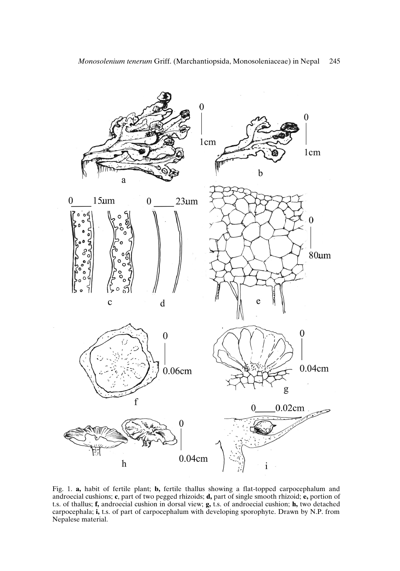

Fig. 1. **a,** habit of fertile plant; **b,** fertile thallus showing a flat-topped carpocephalum and androecial cushions; **c**, part of two pegged rhizoids; **d,** part of single smooth rhizoid; **e,** portion of t.s. of thallus; **f,** androecial cushion in dorsal view; **g,** t.s. of androecial cushion; **h,** two detached carpocephala; **i,** t.s. of part of carpocephalum with developing sporophyte. Drawn by N.P. from Nepalese material.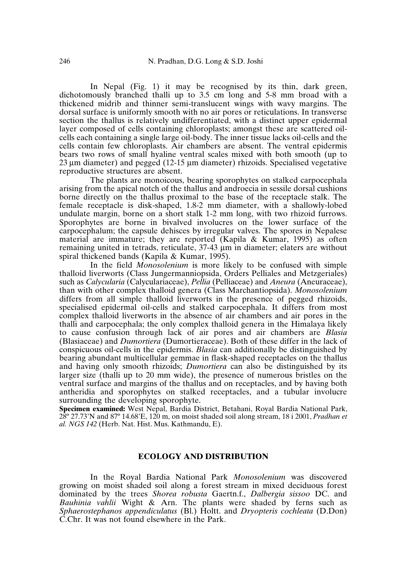In Nepal (Fig. 1) it may be recognised by its thin, dark green, dichotomously branched thalli up to 3.5 cm long and 5-8 mm broad with a thickened midrib and thinner semi-translucent wings with wavy margins. The dorsal surface is uniformly smooth with no air pores or reticulations. In transverse section the thallus is relatively undifferentiated, with a distinct upper epidermal layer composed of cells containing chloroplasts; amongst these are scattered oilcells each containing a single large oil-body. The inner tissue lacks oil-cells and the cells contain few chloroplasts. Air chambers are absent. The ventral epidermis bears two rows of small hyaline ventral scales mixed with both smooth (up to 23 µm diameter) and pegged (12-15 µm diameter) rhizoids. Specialised vegetative reproductive structures are absent.

The plants are monoicous, bearing sporophytes on stalked carpocephala arising from the apical notch of the thallus and androecia in sessile dorsal cushions borne directly on the thallus proximal to the base of the receptacle stalk. The female receptacle is disk-shaped, 1.8-2 mm diameter, with a shallowly-lobed undulate margin, borne on a short stalk 1-2 mm long, with two rhizoid furrows. Sporophytes are borne in bivalved involucres on the lower surface of the carpocephalum; the capsule dehisces by irregular valves. The spores in Nepalese material are immature; they are reported (Kapila & Kumar, 1995) as often remaining united in tetrads, reticulate, 37-43 µm in diameter; elaters are without spiral thickened bands (Kapila & Kumar, 1995).

In the field *Monosolenium* is more likely to be confused with simple thalloid liverworts (Class Jungermanniopsida, Orders Pelliales and Metzgeriales) such as *Calycularia* (Calyculariaceae), *Pellia* (Pelliaceae) and *Aneura* (Aneuraceae), than with other complex thalloid genera (Class Marchantiopsida). *Monosolenium* differs from all simple thalloid liverworts in the presence of pegged rhizoids, specialised epidermal oil-cells and stalked carpocephala. It differs from most complex thalloid liverworts in the absence of air chambers and air pores in the thalli and carpocephala; the only complex thalloid genera in the Himalaya likely to cause confusion through lack of air pores and air chambers are *Blasia* (Blasiaceae) and *Dumortiera* (Dumortieraceae). Both of these differ in the lack of conspicuous oil-cells in the epidermis. *Blasia* can additionally be distinguished by bearing abundant multicellular gemmae in flask-shaped receptacles on the thallus and having only smooth rhizoids; *Dumortiera* can also be distinguished by its larger size (thalli up to 20 mm wide), the presence of numerous bristles on the ventral surface and margins of the thallus and on receptacles, and by having both antheridia and sporophytes on stalked receptacles, and a tubular involucre surrounding the developing sporophyte.

**Specimen examined:** West Nepal, Bardia District, Betahani, Royal Bardia National Park, 28º 27.73'N and 87º 14.68'E, 120 m, on moist shaded soil along stream, 18 i 2001, *Pradhan et al. NGS 142* (Herb. Nat. Hist. Mus. Kathmandu, E).

## **ECOLOGY AND DISTRIBUTION**

In the Royal Bardia National Park *Monosolenium* was discovered growing on moist shaded soil along a forest stream in mixed deciduous forest dominated by the trees *Shorea robusta* Gaertn.f., *Dalbergia sissoo* DC. and *Bauhinia vahlii* Wight & Arn. The plants were shaded by ferns such as *Sphaerostephanos appendiculatus* (Bl.) Holtt. and *Dryopteris cochleata* (D.Don) C.Chr. It was not found elsewhere in the Park.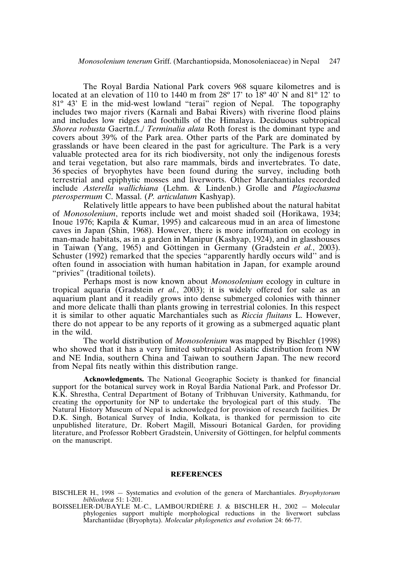The Royal Bardia National Park covers 968 square kilometres and is located at an elevation of 110 to 1440 m from  $28^{\circ}$  17' to  $18^{\circ}$  40' N and  $81^{\circ}$  12' to 81º 43' E in the mid-west lowland "terai" region of Nepal. The topography includes two major rivers (Karnali and Babai Rivers) with riverine flood plains and includes low ridges and foothills of the Himalaya. Deciduous subtropical *Shorea robusta* Gaertn.f.,/ *Terminalia alata* Roth forest is the dominant type and covers about 39% of the Park area. Other parts of the Park are dominated by grasslands or have been cleared in the past for agriculture. The Park is a very valuable protected area for its rich biodiversity, not only the indigenous forests and terai vegetation, but also rare mammals, birds and invertebrates. To date, 36 species of bryophytes have been found during the survey, including both terrestrial and epiphytic mosses and liverworts. Other Marchantiales recorded include *Asterella wallichiana* (Lehm. & Lindenb.) Grolle and *Plagiochasma pterospermum* C. Massal. (*P. articulatum* Kashyap).

Relatively little appears to have been published about the natural habitat of *Monosolenium*, reports include wet and moist shaded soil (Horikawa, 1934; Inoue 1976; Kapila & Kumar, 1995) and calcareous mud in an area of limestone caves in Japan (Shin, 1968). However, there is more information on ecology in man-made habitats, as in a garden in Manipur (Kashyap, 1924), and in glasshouses in Taiwan (Yang, 1965) and Göttingen in Germany (Gradstein *et al.*, 2003). Schuster (1992) remarked that the species "apparently hardly occurs wild" and is often found in association with human habitation in Japan, for example around "privies" (traditional toilets).

Perhaps most is now known about *Monosolenium* ecology in culture in tropical aquaria (Gradstein *et al.*, 2003); it is widely offered for sale as an aquarium plant and it readily grows into dense submerged colonies with thinner and more delicate thalli than plants growing in terrestrial colonies. In this respect it is similar to other aquatic Marchantiales such as *Riccia fluitans* L. However, there do not appear to be any reports of it growing as a submerged aquatic plant in the wild.

The world distribution of *Monosolenium* was mapped by Bischler (1998) who showed that it has a very limited subtropical Asiatic distribution from NW and NE India, southern China and Taiwan to southern Japan. The new record from Nepal fits neatly within this distribution range.

**Acknowledgments.** The National Geographic Society is thanked for financial support for the botanical survey work in Royal Bardia National Park, and Professor Dr. K.K. Shrestha, Central Department of Botany of Tribhuvan University, Kathmandu, for creating the opportunity for NP to undertake the bryological part of this study. The Natural History Museum of Nepal is acknowledged for provision of research facilities. Dr D.K. Singh, Botanical Survey of India, Kolkata, is thanked for permission to cite unpublished literature, Dr. Robert Magill, Missouri Botanical Garden, for providing literature, and Professor Robbert Gradstein, University of Göttingen, for helpful comments on the manuscript.

#### **REFERENCES**

BISCHLER H., 1998 — Systematics and evolution of the genera of Marchantiales. *Bryophytorum bibliotheca* 51: 1-201.

BOISSELIER-DUBAYLE M.-C., LAMBOURDIÈRE J. & BISCHLER H., 2002 — Molecular phylogenies support multiple morphological reductions in the liverwort subclass Marchantiidae (Bryophyta). *Molecular phylogenetics and evolution* 24: 66-77.